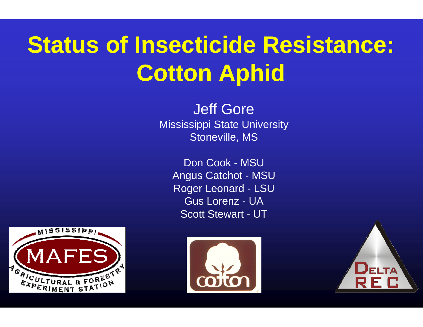# **Status of Insecticide Resistance: Cotton Aphid**

**Jeff Gore Mississippi State University** Stoneville, MS

Don Cook - MSU **Angus Catchot - MSU Roger Leonard - LSU Gus Lorenz - UA Scott Stewart - UT** 





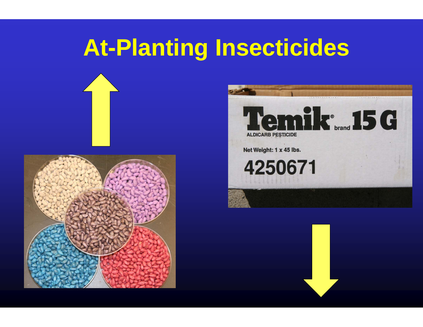# **At-Planting Insecticides**





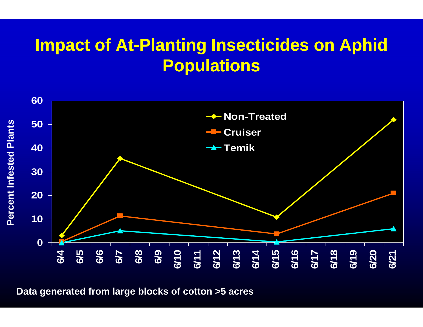#### **Impact of At-Planting Insecticides on Aphid P l opua ations**



**Data generated from large blocks of cotto n n >5 acres**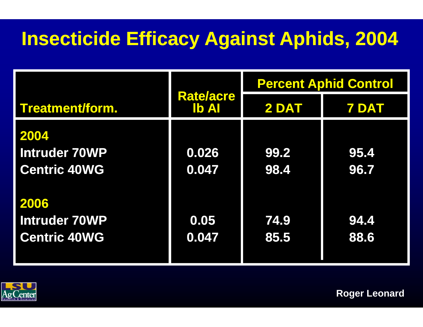## **Insecticide Efficacy A Against Aphids, 2004**

|                      |                                  | <b>Percent Aphid Control</b> |              |
|----------------------|----------------------------------|------------------------------|--------------|
| Treatment/form.      | <b>Rate/acre</b><br><b>Ib AI</b> | 2 DAT                        | <b>7 DAT</b> |
| 2004                 |                                  |                              |              |
| <b>Intruder 70WP</b> | 0.026                            | 99.2                         | 95.4         |
| <b>Centric 40WG</b>  | 0.047                            | 98.4                         | 96.7         |
|                      |                                  |                              |              |
| 2006                 |                                  |                              |              |
| <b>Intruder 70WP</b> | 0.05                             | 74.9                         | 94.4         |
| <b>Centric 40WG</b>  | 0.047                            | 85.5                         | 88.6         |
|                      |                                  |                              |              |



**Roger Leonard**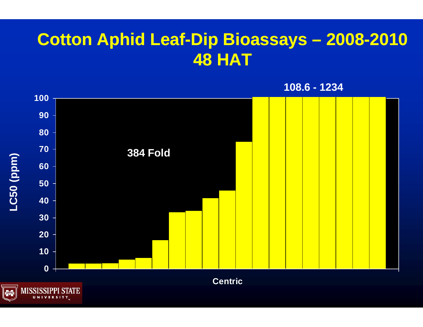#### **Cotton Aphid Leaf-Di p p Bioassays – 2008-2010 HAT**

**108.6 - 1234**

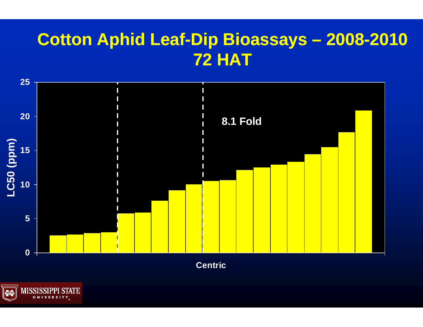#### **Cotton Aphid Leaf-Dip Bioassays - 2008-2010 72 HAT**



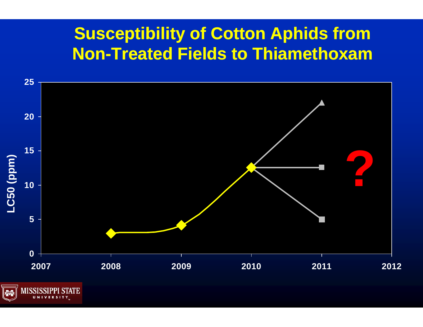#### **Susceptibility of Cotton Aphids from Non-Treated Field ds to Thiamethoxam**

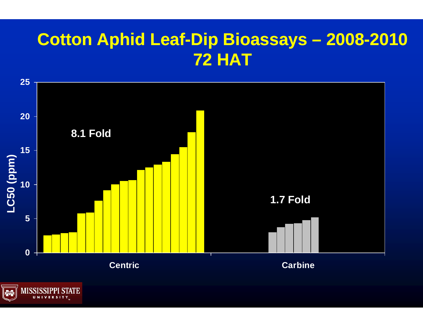#### **Cotton Aphid Leaf-Di p p Bioassays – 2008-2010 72 HAT**



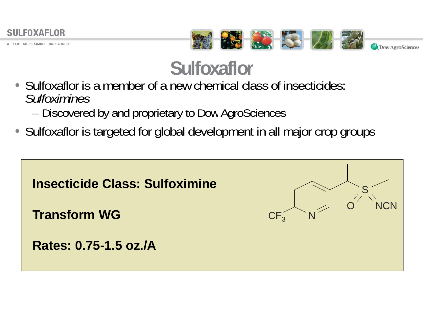

SULFOXIMINE INSECTICIDE



## **Sulfoxxaflor**

- Sulfoxaflor is a member of a new chemical class of insecticides: *Sulfoximines*
	- Discovered by and proprietary to Dow AgroSciences
- Sulfoxaflor is targeted for global development in all major crop groups

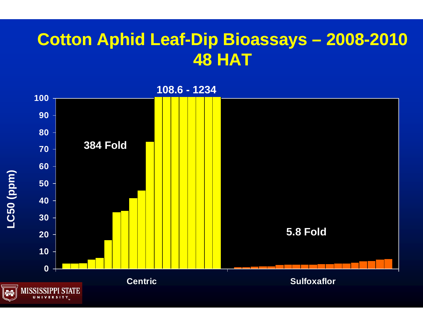#### **Cotton Aphid Leaf-Di p p Bioassays – 2008-2010 48 HAT**

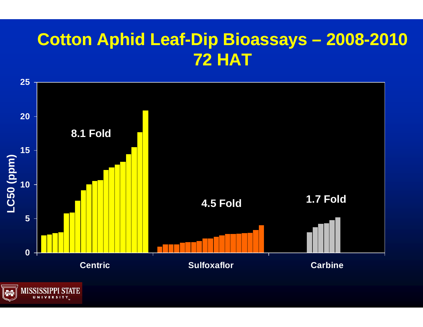#### **Cotton Aphid Leaf-Di p p Bioassays – 2008-2010 72 HAT**



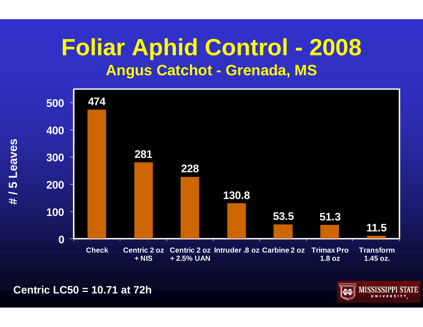## **Foliar Aphid C Control - 2008 Angus Catchot t - Grenada, MS**



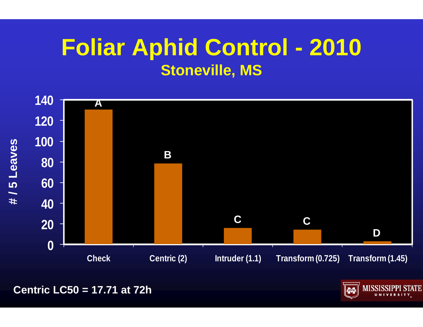## **Foliar Aphid Control - 2010 Stoneville, MS**



**Centric LC50 = 17.71 at 72h** 

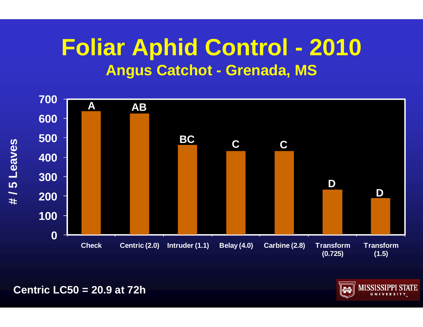## **Foliar Aphid C Control - 2010 Angus Catchot t - Grenada, MS**





**Centric LC50 = 20.9 at 72h**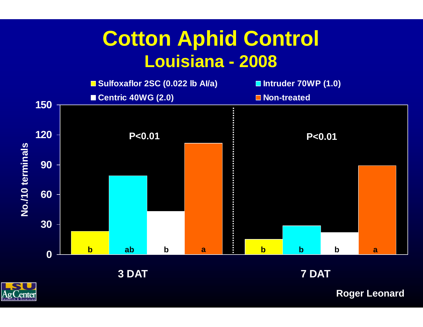## **Cotton Aph hid Control Louisianna 2008 na -**





**7 DAT**



**Roger Leonard**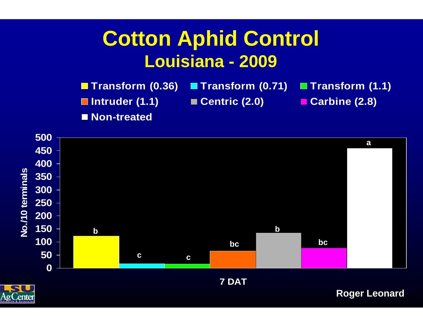## **Cotton Aph hid Control Louisianna 2009**

**The Transform (0.36) <b>The Transform (0.71) Intruder (1.1) ■ Ce**<br>Non-treated **Non-treated** ■ **Transform (1.1)** ■ **Centric** (2.0) ■ **Carbine** (2.8) **na - (2.0) (2.8)a**

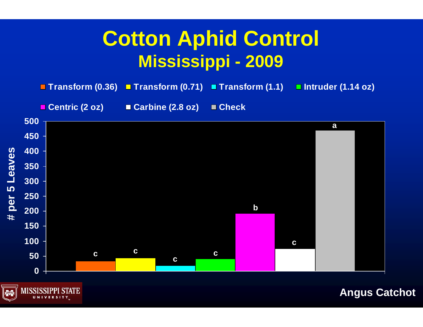## **Cotton Aph hid Control Mississip ppi 2009 -**

■ Transform (0.36) ■ Transform (0.71) ■ Transform (1.1) **□ Intruder (1.14 oz)** 

**Centric (2 oz) Carbine (2.8 oz) Check**





**Angus Catchot**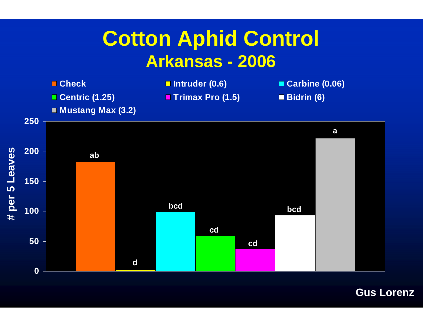## **Cotton Aphid Control** Arkansas - 2006



**Gus Lorenz**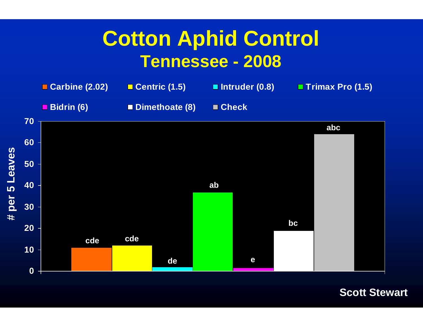### **Cotton Aph hid Control**  $\bf$  **Tennessee - 2008**



**Scott Stewart**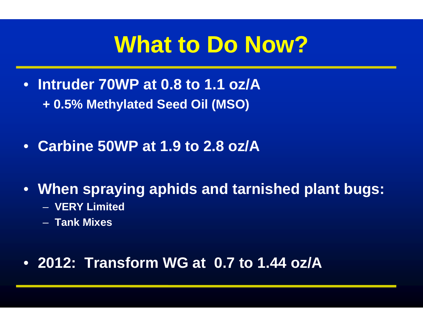# **What to DDo Now?**

- **Intruder 70WP at 0.8 to 1.1 oz/A <sup>+</sup> 0 5%. M th l t d MethylatedS d Oil Seed (MSO)**
- **C bi 50WP t 1 9 t 2 Carbine 50WP at 1.9 to .8 /A oz**
- **Wh i hid When spraying aphids an ndt i h d l tb tarnished plant bugs:**
	- **VERY Limited**
	- **Tank Mixes**

#### • **2012: Transform WG at 0.7 to 1.44 oz/A**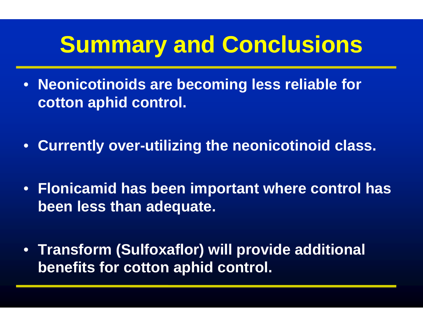# **Summary and Conclusions**

- **Neonicotinoids are beco ming less reliable for cotton aphid control control.**
- **C rrentl <sup>o</sup> er Currently over-utili ing t tilizing he neonicotinoid class.**
- **Fl i id Flonicamidhb i aseen imp port t h t lh tant where control has been less than adequate .**
- **Transform (Sulfoxaflor) w will provide additional benefits for cotton aphid d control control.**